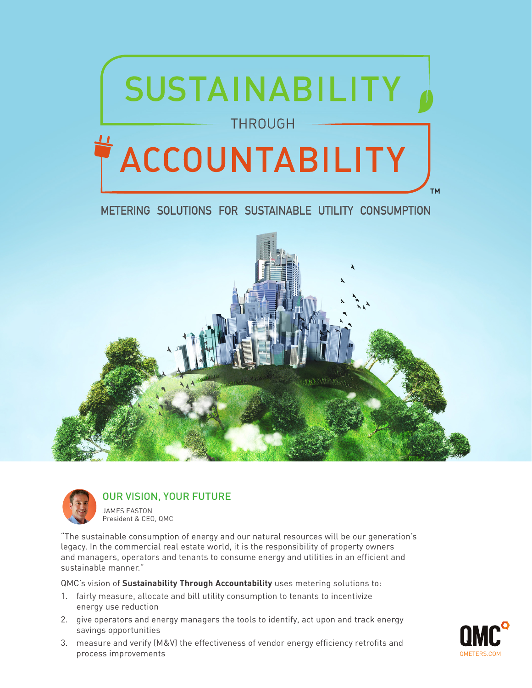



### OUR VISION, YOUR FUTURE

JAMES EASTON President & CEO, QMC

"The sustainable consumption of energy and our natural resources will be our generation's legacy. In the commercial real estate world, it is the responsibility of property owners and managers, operators and tenants to consume energy and utilities in an efficient and sustainable manner."

QMC's vision of **Sustainability Through Accountability** uses metering solutions to:

- 1. fairly measure, allocate and bill utility consumption to tenants to incentivize energy use reduction
- 2. give operators and energy managers the tools to identify, act upon and track energy savings opportunities
- 3. measure and verify (M&V) the effectiveness of vendor energy efficiency retrofits and process improvements